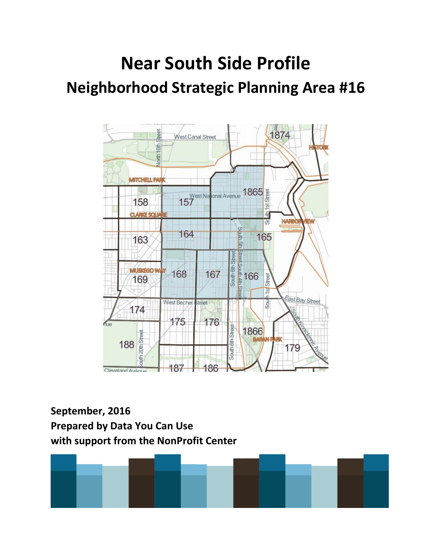# **Near South Side Profile Neighborhood Strategic Planning Area #16**



## **September, 2016 Prepared by Data You Can Use with support from the NonProfit Center**

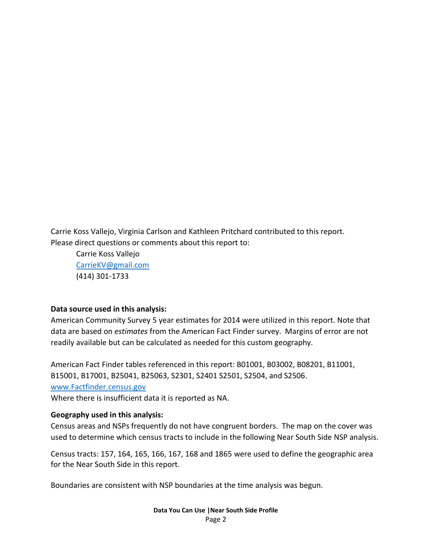Carrie Koss Vallejo, Virginia Carlson and Kathleen Pritchard contributed to this report. Please direct questions or comments about this report to:

Carrie Koss Vallejo [CarrieKV@gmail.com](mailto:CarrieKV@gmail.com) (414) 301-1733

#### **Data source used in this analysis:**

American Community Survey 5 year estimates for 2014 were utilized in this report. Note that data are based on *estimates* from the American Fact Finder survey. Margins of error are not readily available but can be calculated as needed for this custom geography.

American Fact Finder tables referenced in this report: B01001, B03002, B08201, B11001, B15001, B17001, B25041, B25063, S2301, S2401 S2501, S2504, and S2506. [www.Factfinder.census.gov](http://www.factfinder.census.gov/) 

Where there is insufficient data it is reported as NA.

#### **Geography used in this analysis:**

Census areas and NSPs frequently do not have congruent borders. The map on the cover was used to determine which census tracts to include in the following Near South Side NSP analysis.

Census tracts: 157, 164, 165, 166, 167, 168 and 1865 were used to define the geographic area for the Near South Side in this report.

Boundaries are consistent with NSP boundaries at the time analysis was begun.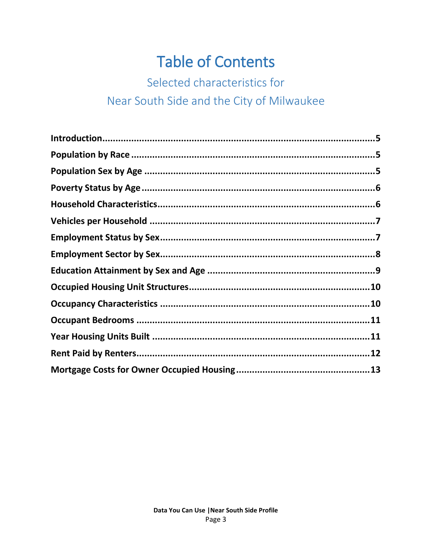# **Table of Contents**

Selected characteristics for

## Near South Side and the City of Milwaukee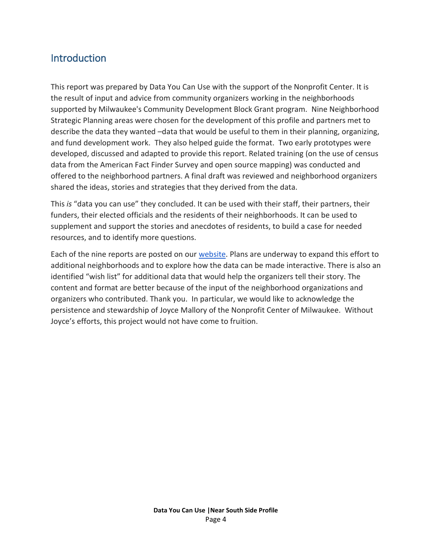#### **Introduction**

This report was prepared by Data You Can Use with the support of the Nonprofit Center. It is the result of input and advice from community organizers working in the neighborhoods supported by Milwaukee's Community Development Block Grant program. Nine Neighborhood Strategic Planning areas were chosen for the development of this profile and partners met to describe the data they wanted –data that would be useful to them in their planning, organizing, and fund development work. They also helped guide the format. Two early prototypes were developed, discussed and adapted to provide this report. Related training (on the use of census data from the American Fact Finder Survey and open source mapping) was conducted and offered to the neighborhood partners. A final draft was reviewed and neighborhood organizers shared the ideas, stories and strategies that they derived from the data.

This *is* "data you can use" they concluded. It can be used with their staff, their partners, their funders, their elected officials and the residents of their neighborhoods. It can be used to supplement and support the stories and anecdotes of residents, to build a case for needed resources, and to identify more questions.

Each of the nine reports are posted on our [website.](http://datayoucanuse.org/) Plans are underway to expand this effort to additional neighborhoods and to explore how the data can be made interactive. There is also an identified "wish list" for additional data that would help the organizers tell their story. The content and format are better because of the input of the neighborhood organizations and organizers who contributed. Thank you. In particular, we would like to acknowledge the persistence and stewardship of Joyce Mallory of the Nonprofit Center of Milwaukee. Without Joyce's efforts, this project would not have come to fruition.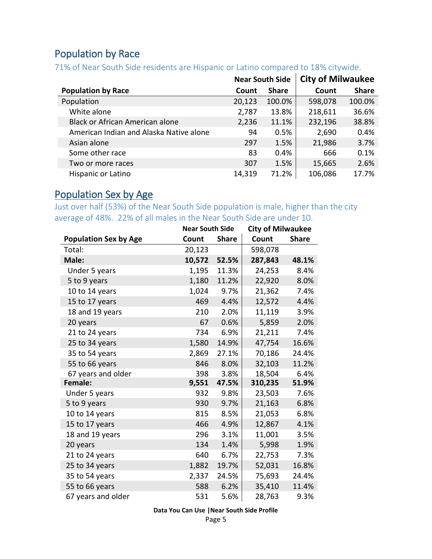## <span id="page-4-0"></span>Population by Race

71% of Near South Side residents are Hispanic or Latino compared to 18% citywide.

|                                         |        | <b>Near South Side</b> | <b>City of Milwaukee</b> |              |
|-----------------------------------------|--------|------------------------|--------------------------|--------------|
| <b>Population by Race</b>               | Count  | <b>Share</b>           | Count                    | <b>Share</b> |
| Population                              | 20,123 | 100.0%                 | 598,078                  | 100.0%       |
| White alone                             | 2,787  | 13.8%                  | 218,611                  | 36.6%        |
| Black or African American alone         | 2,236  | 11.1%                  | 232,196                  | 38.8%        |
| American Indian and Alaska Native alone | 94     | 0.5%                   | 2,690                    | 0.4%         |
| Asian alone                             | 297    | 1.5%                   | 21,986                   | 3.7%         |
| Some other race                         | 83     | 0.4%                   | 666                      | 0.1%         |
| Two or more races                       | 307    | 1.5%                   | 15,665                   | 2.6%         |
| Hispanic or Latino                      | 14,319 | 71.2%                  | 106,086                  | 17.7%        |

## <span id="page-4-1"></span>Population Sex by Age

Just over half (53%) of the Near South Side population is male, higher than the city average of 48%. 22% of all males in the Near South Side are under 10.

|                              |        | <b>Near South Side</b> |         | <b>City of Milwaukee</b> |
|------------------------------|--------|------------------------|---------|--------------------------|
| <b>Population Sex by Age</b> | Count  | <b>Share</b>           | Count   | <b>Share</b>             |
| Total:                       | 20,123 |                        | 598,078 |                          |
| Male:                        | 10,572 | 52.5%                  | 287,843 | 48.1%                    |
| Under 5 years                | 1,195  | 11.3%                  | 24,253  | 8.4%                     |
| 5 to 9 years                 | 1,180  | 11.2%                  | 22,920  | 8.0%                     |
| 10 to 14 years               | 1,024  | 9.7%                   | 21,362  | 7.4%                     |
| 15 to 17 years               | 469    | 4.4%                   | 12,572  | 4.4%                     |
| 18 and 19 years              | 210    | 2.0%                   | 11,119  | 3.9%                     |
| 20 years                     | 67     | 0.6%                   | 5,859   | 2.0%                     |
| 21 to 24 years               | 734    | 6.9%                   | 21,211  | 7.4%                     |
| 25 to 34 years               | 1,580  | 14.9%                  | 47,754  | 16.6%                    |
| 35 to 54 years               | 2,869  | 27.1%                  | 70,186  | 24.4%                    |
| 55 to 66 years               | 846    | 8.0%                   | 32,103  | 11.2%                    |
| 67 years and older           | 398    | 3.8%                   | 18,504  | 6.4%                     |
| Female:                      | 9,551  | 47.5%                  | 310,235 | 51.9%                    |
| Under 5 years                | 932    | 9.8%                   | 23,503  | 7.6%                     |
| 5 to 9 years                 | 930    | 9.7%                   | 21,163  | 6.8%                     |
| 10 to 14 years               | 815    | 8.5%                   | 21,053  | 6.8%                     |
| 15 to 17 years               | 466    | 4.9%                   | 12,867  | 4.1%                     |
| 18 and 19 years              | 296    | 3.1%                   | 11,001  | 3.5%                     |
| 20 years                     | 134    | 1.4%                   | 5,998   | 1.9%                     |
| 21 to 24 years               | 640    | 6.7%                   | 22,753  | 7.3%                     |
| 25 to 34 years               | 1,882  | 19.7%                  | 52,031  | 16.8%                    |
| 35 to 54 years               | 2,337  | 24.5%                  | 75,693  | 24.4%                    |
| 55 to 66 years               | 588    | 6.2%                   | 35,410  | 11.4%                    |
| 67 years and older           | 531    | 5.6%                   | 28,763  | 9.3%                     |

**Data You Can Use |Near South Side Profile**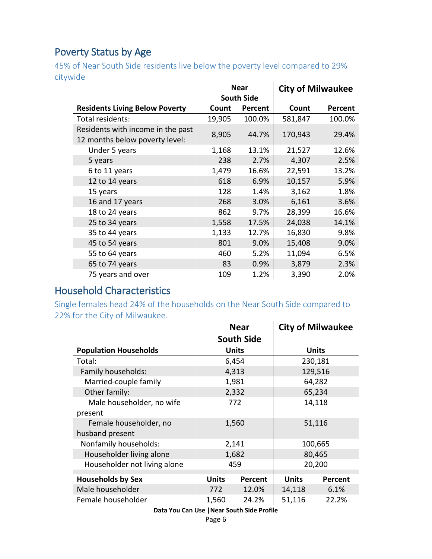### <span id="page-5-0"></span>Poverty Status by Age

45% of Near South Side residents live below the poverty level compared to 29% citywide

|                                                                     |        | <b>Near</b>       | <b>City of Milwaukee</b> |         |
|---------------------------------------------------------------------|--------|-------------------|--------------------------|---------|
|                                                                     |        | <b>South Side</b> |                          |         |
| <b>Residents Living Below Poverty</b>                               | Count  | Percent           | Count                    | Percent |
| Total residents:                                                    | 19,905 | 100.0%            | 581,847                  | 100.0%  |
| Residents with income in the past<br>12 months below poverty level: | 8,905  | 44.7%             | 170,943                  | 29.4%   |
| Under 5 years                                                       | 1,168  | 13.1%             | 21,527                   | 12.6%   |
| 5 years                                                             | 238    | 2.7%              | 4,307                    | 2.5%    |
| 6 to 11 years                                                       | 1,479  | 16.6%             | 22,591                   | 13.2%   |
| 12 to 14 years                                                      | 618    | 6.9%              | 10,157                   | 5.9%    |
| 15 years                                                            | 128    | 1.4%              | 3,162                    | 1.8%    |
| 16 and 17 years                                                     | 268    | 3.0%              | 6,161                    | 3.6%    |
| 18 to 24 years                                                      | 862    | 9.7%              | 28,399                   | 16.6%   |
| 25 to 34 years                                                      | 1,558  | 17.5%             | 24,038                   | 14.1%   |
| 35 to 44 years                                                      | 1,133  | 12.7%             | 16,830                   | 9.8%    |
| 45 to 54 years                                                      | 801    | 9.0%              | 15,408                   | 9.0%    |
| 55 to 64 years                                                      | 460    | 5.2%              | 11,094                   | 6.5%    |
| 65 to 74 years                                                      | 83     | 0.9%              | 3,879                    | 2.3%    |
| 75 years and over                                                   | 109    | 1.2%              | 3,390                    | 2.0%    |

#### <span id="page-5-1"></span>Household Characteristics

Single females head 24% of the households on the Near South Side compared to 22% for the City of Milwaukee.  $\mathbf{L}$ 

|                              | <b>Near</b>  |                   |              | <b>City of Milwaukee</b> |
|------------------------------|--------------|-------------------|--------------|--------------------------|
|                              |              | <b>South Side</b> |              |                          |
| <b>Population Households</b> |              | <b>Units</b>      |              | <b>Units</b>             |
| Total:                       |              | 6,454             |              | 230,181                  |
| Family households:           |              | 4,313             |              | 129,516                  |
| Married-couple family        |              | 1,981             |              | 64,282                   |
| Other family:                |              | 2,332             |              | 65,234                   |
| Male householder, no wife    | 772          |                   | 14,118       |                          |
| present                      |              |                   |              |                          |
| Female householder, no       |              | 1,560             | 51,116       |                          |
| husband present              |              |                   |              |                          |
| Nonfamily households:        |              | 2,141             | 100,665      |                          |
| Householder living alone     |              | 1,682             | 80,465       |                          |
| Householder not living alone | 459          |                   |              | 20,200                   |
| <b>Households by Sex</b>     | <b>Units</b> | Percent           | <b>Units</b> | <b>Percent</b>           |
| Male householder             | 772          | 12.0%             | 14,118       | 6.1%                     |
| Female householder           | 1,560        | 24.2%             | 51,116       | 22.2%                    |

**Data You Can Use |Near South Side Profile**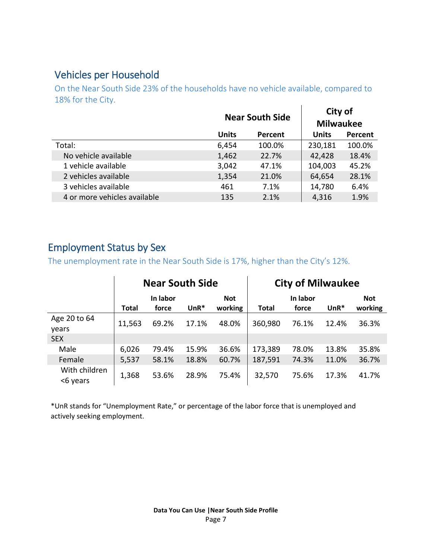#### <span id="page-6-0"></span>Vehicles per Household

On the Near South Side 23% of the households have no vehicle available, compared to 18% for the City.

|                              |              | <b>Near South Side</b> | City of<br><b>Milwaukee</b> |         |  |
|------------------------------|--------------|------------------------|-----------------------------|---------|--|
|                              | <b>Units</b> | Percent                | Units                       | Percent |  |
| Total:                       | 6,454        | 100.0%                 | 230,181                     | 100.0%  |  |
| No vehicle available         | 1,462        | 22.7%                  | 42,428                      | 18.4%   |  |
| 1 vehicle available          | 3,042        | 47.1%                  | 104,003                     | 45.2%   |  |
| 2 vehicles available         | 1,354        | 21.0%                  | 64,654                      | 28.1%   |  |
| 3 vehicles available         | 461          | 7.1%                   | 14,780                      | 6.4%    |  |
| 4 or more vehicles available | 135          | 2.1%                   | 4,316                       | 1.9%    |  |
|                              |              |                        |                             |         |  |

#### <span id="page-6-1"></span>Employment Status by Sex

The unemployment rate in the Near South Side is 17%, higher than the City's 12%.

|                           |              | <b>Near South Side</b> |        |                       |              | <b>City of Milwaukee</b> |        |                       |
|---------------------------|--------------|------------------------|--------|-----------------------|--------------|--------------------------|--------|-----------------------|
|                           | <b>Total</b> | In labor<br>force      | $UnR*$ | <b>Not</b><br>working | <b>Total</b> | In labor<br>force        | $UnR*$ | <b>Not</b><br>working |
| Age 20 to 64<br>years     | 11,563       | 69.2%                  | 17.1%  | 48.0%                 | 360,980      | 76.1%                    | 12.4%  | 36.3%                 |
| <b>SEX</b>                |              |                        |        |                       |              |                          |        |                       |
| Male                      | 6,026        | 79.4%                  | 15.9%  | 36.6%                 | 173,389      | 78.0%                    | 13.8%  | 35.8%                 |
| Female                    | 5,537        | 58.1%                  | 18.8%  | 60.7%                 | 187,591      | 74.3%                    | 11.0%  | 36.7%                 |
| With children<br><6 years | 1,368        | 53.6%                  | 28.9%  | 75.4%                 | 32,570       | 75.6%                    | 17.3%  | 41.7%                 |

\*UnR stands for "Unemployment Rate," or percentage of the labor force that is unemployed and actively seeking employment.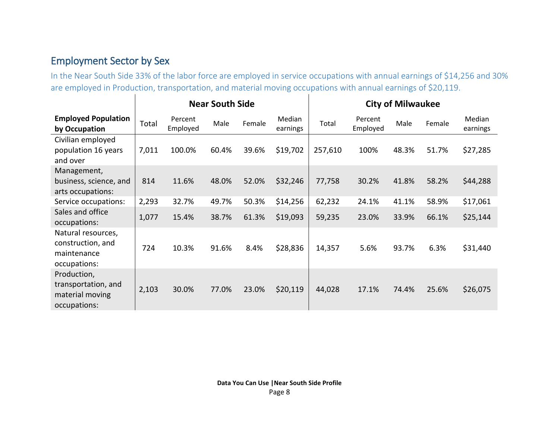### Employment Sector by Sex

In the Near South Side 33% of the labor force are employed in service occupations with annual earnings of \$14,256 and 30% are employed in Production, transportation, and material moving occupations with annual earnings of \$20,119.

<span id="page-7-0"></span>

|                                                                        | <b>Near South Side</b> |                     |       |        |                    |         |                     | <b>City of Milwaukee</b> |        |                    |
|------------------------------------------------------------------------|------------------------|---------------------|-------|--------|--------------------|---------|---------------------|--------------------------|--------|--------------------|
| <b>Employed Population</b><br>by Occupation                            | Total                  | Percent<br>Employed | Male  | Female | Median<br>earnings | Total   | Percent<br>Employed | Male                     | Female | Median<br>earnings |
| Civilian employed                                                      |                        |                     |       |        |                    |         |                     |                          |        |                    |
| population 16 years<br>and over                                        | 7,011                  | 100.0%              | 60.4% | 39.6%  | \$19,702           | 257,610 | 100%                | 48.3%                    | 51.7%  | \$27,285           |
| Management,                                                            |                        |                     |       |        |                    |         |                     |                          |        |                    |
| business, science, and<br>arts occupations:                            | 814                    | 11.6%               | 48.0% | 52.0%  | \$32,246           | 77,758  | 30.2%               | 41.8%                    | 58.2%  | \$44,288           |
| Service occupations:                                                   | 2,293                  | 32.7%               | 49.7% | 50.3%  | \$14,256           | 62,232  | 24.1%               | 41.1%                    | 58.9%  | \$17,061           |
| Sales and office<br>occupations:                                       | 1,077                  | 15.4%               | 38.7% | 61.3%  | \$19,093           | 59,235  | 23.0%               | 33.9%                    | 66.1%  | \$25,144           |
| Natural resources,<br>construction, and<br>maintenance<br>occupations: | 724                    | 10.3%               | 91.6% | 8.4%   | \$28,836           | 14,357  | 5.6%                | 93.7%                    | 6.3%   | \$31,440           |
| Production,<br>transportation, and<br>material moving<br>occupations:  | 2,103                  | 30.0%               | 77.0% | 23.0%  | \$20,119           | 44,028  | 17.1%               | 74.4%                    | 25.6%  | \$26,075           |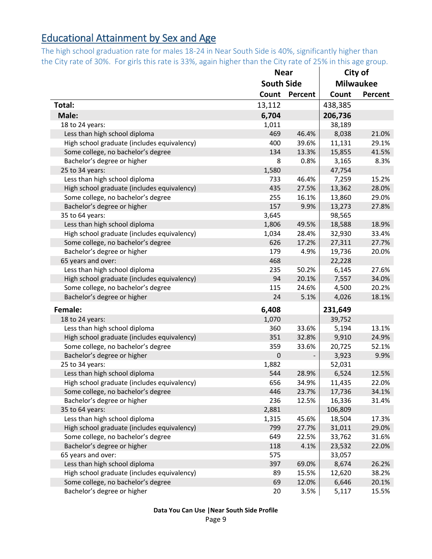## <span id="page-8-0"></span>Educational Attainment by Sex and Age

The high school graduation rate for males 18-24 in Near South Side is 40%, significantly higher than the City rate of 30%. For girls this rate is 33%, again higher than the City rate of 25% in this age group.

|                                             | <b>Near</b>       |         | City of |                  |  |
|---------------------------------------------|-------------------|---------|---------|------------------|--|
|                                             | <b>South Side</b> |         |         | <b>Milwaukee</b> |  |
|                                             | Count             | Percent | Count   | Percent          |  |
| Total:                                      | 13,112            |         | 438,385 |                  |  |
| Male:                                       | 6,704             |         | 206,736 |                  |  |
| 18 to 24 years:                             | 1,011             |         | 38,189  |                  |  |
| Less than high school diploma               | 469               | 46.4%   | 8,038   | 21.0%            |  |
| High school graduate (includes equivalency) | 400               | 39.6%   | 11,131  | 29.1%            |  |
| Some college, no bachelor's degree          | 134               | 13.3%   | 15,855  | 41.5%            |  |
| Bachelor's degree or higher                 | 8                 | 0.8%    | 3,165   | 8.3%             |  |
| 25 to 34 years:                             | 1,580             |         | 47,754  |                  |  |
| Less than high school diploma               | 733               | 46.4%   | 7,259   | 15.2%            |  |
| High school graduate (includes equivalency) | 435               | 27.5%   | 13,362  | 28.0%            |  |
| Some college, no bachelor's degree          | 255               | 16.1%   | 13,860  | 29.0%            |  |
| Bachelor's degree or higher                 | 157               | 9.9%    | 13,273  | 27.8%            |  |
| 35 to 64 years:                             | 3,645             |         | 98,565  |                  |  |
| Less than high school diploma               | 1,806             | 49.5%   | 18,588  | 18.9%            |  |
| High school graduate (includes equivalency) | 1,034             | 28.4%   | 32,930  | 33.4%            |  |
| Some college, no bachelor's degree          | 626               | 17.2%   | 27,311  | 27.7%            |  |
| Bachelor's degree or higher                 | 179               | 4.9%    | 19,736  | 20.0%            |  |
| 65 years and over:                          | 468               |         | 22,228  |                  |  |
| Less than high school diploma               | 235               | 50.2%   | 6,145   | 27.6%            |  |
| High school graduate (includes equivalency) | 94                | 20.1%   | 7,557   | 34.0%            |  |
| Some college, no bachelor's degree          | 115               | 24.6%   | 4,500   | 20.2%            |  |
| Bachelor's degree or higher                 | 24                | 5.1%    | 4,026   | 18.1%            |  |
| Female:                                     | 6,408             |         | 231,649 |                  |  |
| 18 to 24 years:                             | 1,070             |         | 39,752  |                  |  |
| Less than high school diploma               | 360               | 33.6%   | 5,194   | 13.1%            |  |
| High school graduate (includes equivalency) | 351               | 32.8%   | 9,910   | 24.9%            |  |
| Some college, no bachelor's degree          | 359               | 33.6%   | 20,725  | 52.1%            |  |
| Bachelor's degree or higher                 | $\pmb{0}$         |         | 3,923   | 9.9%             |  |
| 25 to 34 years:                             | 1,882             |         | 52,031  |                  |  |
| Less than high school diploma               | 544               | 28.9%   | 6,524   | 12.5%            |  |
| High school graduate (includes equivalency) | 656               | 34.9%   | 11,435  | 22.0%            |  |
| Some college, no bachelor's degree          | 446               | 23.7%   | 17,736  | 34.1%            |  |
| Bachelor's degree or higher                 | 236               | 12.5%   | 16,336  | 31.4%            |  |
| 35 to 64 years:                             | 2,881             |         | 106,809 |                  |  |
| Less than high school diploma               | 1,315             | 45.6%   | 18,504  | 17.3%            |  |
| High school graduate (includes equivalency) | 799               | 27.7%   | 31,011  | 29.0%            |  |
| Some college, no bachelor's degree          | 649               | 22.5%   | 33,762  | 31.6%            |  |
| Bachelor's degree or higher                 | 118               | 4.1%    | 23,532  | 22.0%            |  |
| 65 years and over:                          | 575               |         | 33,057  |                  |  |
| Less than high school diploma               | 397               | 69.0%   | 8,674   | 26.2%            |  |
| High school graduate (includes equivalency) | 89                | 15.5%   | 12,620  | 38.2%            |  |
| Some college, no bachelor's degree          | 69                | 12.0%   | 6,646   | 20.1%            |  |
| Bachelor's degree or higher                 | 20                | 3.5%    | 5,117   | 15.5%            |  |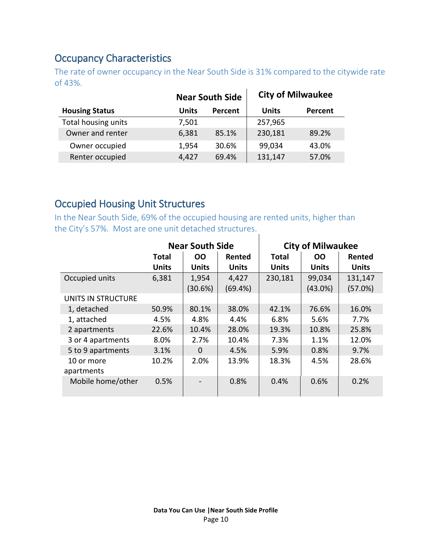### <span id="page-9-1"></span>Occupancy Characteristics

The rate of owner occupancy in the Near South Side is 31% compared to the citywide rate of 43%.

|                       |       | <b>Near South Side</b> | <b>City of Milwaukee</b> |         |
|-----------------------|-------|------------------------|--------------------------|---------|
| <b>Housing Status</b> | Units | Percent                | Units                    | Percent |
| Total housing units   | 7,501 |                        | 257,965                  |         |
| Owner and renter      | 6,381 | 85.1%                  | 230,181                  | 89.2%   |
| Owner occupied        | 1,954 | 30.6%                  | 99,034                   | 43.0%   |
| Renter occupied       | 4,427 | 69.4%                  | 131,147                  | 57.0%   |

#### <span id="page-9-0"></span>Occupied Housing Unit Structures

In the Near South Side, 69% of the occupied housing are rented units, higher than the City's 57%. Most are one unit detached structures.

|                    |              | <b>Near South Side</b> |              | <b>City of Milwaukee</b> |              |              |
|--------------------|--------------|------------------------|--------------|--------------------------|--------------|--------------|
|                    | Total        | <b>OO</b>              | Rented       | Total                    | <b>OO</b>    | Rented       |
|                    | <b>Units</b> | <b>Units</b>           | <b>Units</b> | <b>Units</b>             | <b>Units</b> | <b>Units</b> |
| Occupied units     | 6,381        | 1,954                  | 4,427        | 230,181                  | 99,034       | 131,147      |
|                    |              | $(30.6\%)$             | (69.4%)      |                          | $(43.0\%)$   | (57.0%)      |
| UNITS IN STRUCTURE |              |                        |              |                          |              |              |
| 1, detached        | 50.9%        | 80.1%                  | 38.0%        | 42.1%                    | 76.6%        | 16.0%        |
| 1, attached        | 4.5%         | 4.8%                   | 4.4%         | 6.8%                     | 5.6%         | 7.7%         |
| 2 apartments       | 22.6%        | 10.4%                  | 28.0%        | 19.3%                    | 10.8%        | 25.8%        |
| 3 or 4 apartments  | 8.0%         | 2.7%                   | 10.4%        | 7.3%                     | 1.1%         | 12.0%        |
| 5 to 9 apartments  | 3.1%         | $\Omega$               | 4.5%         | 5.9%                     | 0.8%         | 9.7%         |
| 10 or more         | 10.2%        | 2.0%                   | 13.9%        | 18.3%                    | 4.5%         | 28.6%        |
| apartments         |              |                        |              |                          |              |              |
| Mobile home/other  | 0.5%         |                        | 0.8%         | 0.4%                     | 0.6%         | 0.2%         |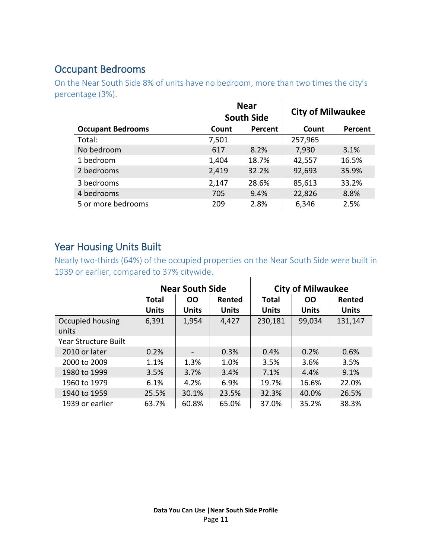#### <span id="page-10-0"></span>Occupant Bedrooms

On the Near South Side 8% of units have no bedroom, more than two times the city's percentage (3%).  $\mathbf{r}$ 

|                          |       | <b>Near</b><br><b>South Side</b> | <b>City of Milwaukee</b> |         |
|--------------------------|-------|----------------------------------|--------------------------|---------|
| <b>Occupant Bedrooms</b> | Count | Percent                          | Count                    | Percent |
| Total:                   | 7,501 |                                  | 257,965                  |         |
| No bedroom               | 617   | 8.2%                             | 7,930                    | 3.1%    |
| 1 bedroom                | 1,404 | 18.7%                            | 42,557                   | 16.5%   |
| 2 bedrooms               | 2,419 | 32.2%                            | 92,693                   | 35.9%   |
| 3 bedrooms               | 2,147 | 28.6%                            | 85,613                   | 33.2%   |
| 4 bedrooms               | 705   | 9.4%                             | 22,826                   | 8.8%    |
| 5 or more bedrooms       | 209   | 2.8%                             | 6,346                    | 2.5%    |

#### <span id="page-10-1"></span>Year Housing Units Built

Nearly two-thirds (64%) of the occupied properties on the Near South Side were built in 1939 or earlier, compared to 37% citywide.  $\mathbf{L}$ 

|                           | <b>Near South Side</b> |                          |              | <b>City of Milwaukee</b> |              |              |
|---------------------------|------------------------|--------------------------|--------------|--------------------------|--------------|--------------|
|                           | <b>Total</b>           | <b>OO</b>                | Rented       | <b>Total</b>             | <b>OO</b>    | Rented       |
|                           | <b>Units</b>           | <b>Units</b>             | <b>Units</b> | <b>Units</b>             | <b>Units</b> | <b>Units</b> |
| Occupied housing<br>units | 6,391                  | 1,954                    | 4,427        | 230,181                  | 99,034       | 131,147      |
| Year Structure Built      |                        |                          |              |                          |              |              |
| 2010 or later             | 0.2%                   | $\overline{\phantom{a}}$ | 0.3%         | 0.4%                     | 0.2%         | 0.6%         |
| 2000 to 2009              | 1.1%                   | 1.3%                     | 1.0%         | 3.5%                     | 3.6%         | 3.5%         |
| 1980 to 1999              | 3.5%                   | 3.7%                     | 3.4%         | 7.1%                     | 4.4%         | 9.1%         |
| 1960 to 1979              | 6.1%                   | 4.2%                     | 6.9%         | 19.7%                    | 16.6%        | 22.0%        |
| 1940 to 1959              | 25.5%                  | 30.1%                    | 23.5%        | 32.3%                    | 40.0%        | 26.5%        |
| 1939 or earlier           | 63.7%                  | 60.8%                    | 65.0%        | 37.0%                    | 35.2%        | 38.3%        |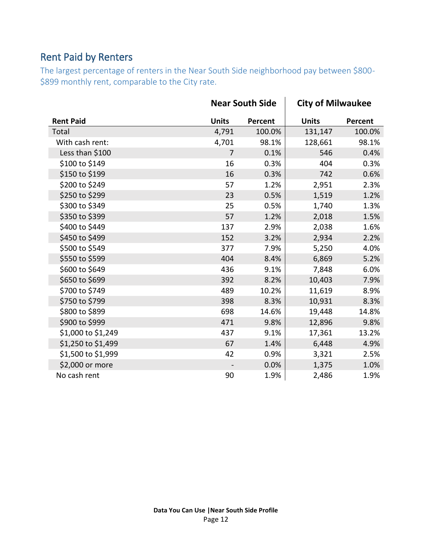## <span id="page-11-0"></span>Rent Paid by Renters

The largest percentage of renters in the Near South Side neighborhood pay between \$800- \$899 monthly rent, comparable to the City rate.

|                    | <b>Near South Side</b> |         | <b>City of Milwaukee</b> |         |
|--------------------|------------------------|---------|--------------------------|---------|
| <b>Rent Paid</b>   | <b>Units</b>           | Percent | <b>Units</b>             | Percent |
| Total              | 4,791                  | 100.0%  | 131,147                  | 100.0%  |
| With cash rent:    | 4,701                  | 98.1%   | 128,661                  | 98.1%   |
| Less than \$100    | $\overline{7}$         | 0.1%    | 546                      | 0.4%    |
| \$100 to \$149     | 16                     | 0.3%    | 404                      | 0.3%    |
| \$150 to \$199     | 16                     | 0.3%    | 742                      | 0.6%    |
| \$200 to \$249     | 57                     | 1.2%    | 2,951                    | 2.3%    |
| \$250 to \$299     | 23                     | 0.5%    | 1,519                    | 1.2%    |
| \$300 to \$349     | 25                     | 0.5%    | 1,740                    | 1.3%    |
| \$350 to \$399     | 57                     | 1.2%    | 2,018                    | 1.5%    |
| \$400 to \$449     | 137                    | 2.9%    | 2,038                    | 1.6%    |
| \$450 to \$499     | 152                    | 3.2%    | 2,934                    | 2.2%    |
| \$500 to \$549     | 377                    | 7.9%    | 5,250                    | 4.0%    |
| \$550 to \$599     | 404                    | 8.4%    | 6,869                    | 5.2%    |
| \$600 to \$649     | 436                    | 9.1%    | 7,848                    | 6.0%    |
| \$650 to \$699     | 392                    | 8.2%    | 10,403                   | 7.9%    |
| \$700 to \$749     | 489                    | 10.2%   | 11,619                   | 8.9%    |
| \$750 to \$799     | 398                    | 8.3%    | 10,931                   | 8.3%    |
| \$800 to \$899     | 698                    | 14.6%   | 19,448                   | 14.8%   |
| \$900 to \$999     | 471                    | 9.8%    | 12,896                   | 9.8%    |
| \$1,000 to \$1,249 | 437                    | 9.1%    | 17,361                   | 13.2%   |
| \$1,250 to \$1,499 | 67                     | 1.4%    | 6,448                    | 4.9%    |
| \$1,500 to \$1,999 | 42                     | 0.9%    | 3,321                    | 2.5%    |
| \$2,000 or more    |                        | 0.0%    | 1,375                    | 1.0%    |
| No cash rent       | 90                     | 1.9%    | 2,486                    | 1.9%    |